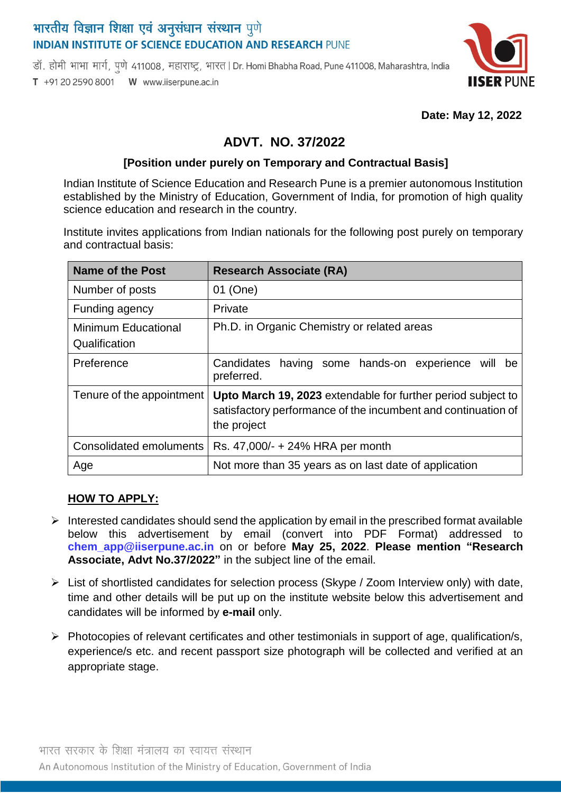# भारतीय विज्ञान शिक्षा एवं अनुसंधान संस्थान पुणे **INDIAN INSTITUTE OF SCIENCE EDUCATION AND RESEARCH PUNE**

डॉ. होमी भाभा मार्ग, पुणे 411008, महाराष्ट्र, भारत | Dr. Homi Bhabha Road, Pune 411008, Maharashtra, India T +91 20 2590 8001 W www.iiserpune.ac.in



 **Date: May 12, 2022**

## **ADVT. NO. 37/2022**

#### **[Position under purely on Temporary and Contractual Basis]**

Indian Institute of Science Education and Research Pune is a premier autonomous Institution established by the Ministry of Education, Government of India, for promotion of high quality science education and research in the country.

Institute invites applications from Indian nationals for the following post purely on temporary and contractual basis:

| <b>Name of the Post</b>                     | <b>Research Associate (RA)</b>                                                                                                               |
|---------------------------------------------|----------------------------------------------------------------------------------------------------------------------------------------------|
| Number of posts                             | 01 (One)                                                                                                                                     |
| Funding agency                              | Private                                                                                                                                      |
| <b>Minimum Educational</b><br>Qualification | Ph.D. in Organic Chemistry or related areas                                                                                                  |
| Preference                                  | having some hands-on experience will<br>Candidates<br>be<br>preferred.                                                                       |
| Tenure of the appointment                   | Upto March 19, 2023 extendable for further period subject to<br>satisfactory performance of the incumbent and continuation of<br>the project |
| Consolidated emoluments                     | Rs. 47,000/- + 24% HRA per month                                                                                                             |
| Age                                         | Not more than 35 years as on last date of application                                                                                        |

#### **HOW TO APPLY:**

- $\triangleright$  Interested candidates should send the application by email in the prescribed format available below this advertisement by email (convert into PDF Format) addressed to **chem\_app@iiserpune.ac.in** on or before **May 25, 2022**. **Please mention "Research Associate, Advt No.37/2022"** in the subject line of the email.
- $\triangleright$  List of shortlisted candidates for selection process (Skype / Zoom Interview only) with date, time and other details will be put up on the institute website below this advertisement and candidates will be informed by **e-mail** only.
- $\triangleright$  Photocopies of relevant certificates and other testimonials in support of age, qualification/s, experience/s etc. and recent passport size photograph will be collected and verified at an appropriate stage.